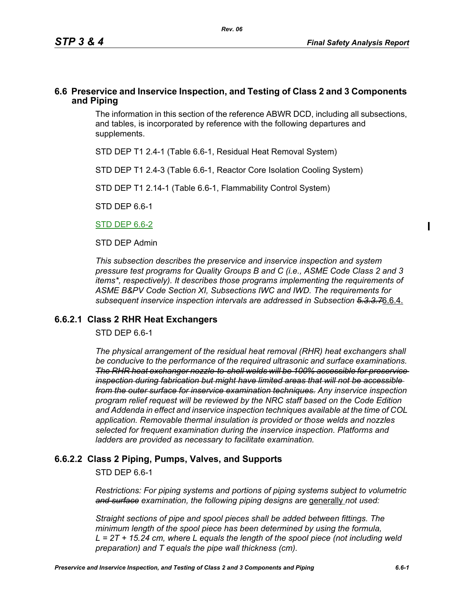## **6.6 Preservice and Inservice Inspection, and Testing of Class 2 and 3 Components and Piping**

The information in this section of the reference ABWR DCD, including all subsections, and tables, is incorporated by reference with the following departures and supplements.

STD DEP T1 2.4-1 (Table 6.6-1, Residual Heat Removal System)

STD DEP T1 2.4-3 (Table 6.6-1, Reactor Core Isolation Cooling System)

STD DEP T1 2.14-1 (Table 6.6-1, Flammability Control System)

STD DEP 6.6-1

STD DEP 6.6-2

STD DEP Admin

*This subsection describes the preservice and inservice inspection and system pressure test programs for Quality Groups B and C (i.e., ASME Code Class 2 and 3 items\*, respectively). It describes those programs implementing the requirements of ASME B&PV Code Section XI, Subsections IWC and IWD. The requirements for subsequent inservice inspection intervals are addressed in Subsection 5.3.3.7*6.6.4.

### **6.6.2.1 Class 2 RHR Heat Exchangers**

STD DEP 6.6-1

*The physical arrangement of the residual heat removal (RHR) heat exchangers shall be conducive to the performance of the required ultrasonic and surface examinations. The RHR heat exchanger nozzle-to-shell welds will be 100% accessible for preservice inspection during fabrication but might have limited areas that will not be accessible from the outer surface for inservice examination techniques. Any inservice inspection program relief request will be reviewed by the NRC staff based on the Code Edition and Addenda in effect and inservice inspection techniques available at the time of COL application. Removable thermal insulation is provided or those welds and nozzles selected for frequent examination during the inservice inspection. Platforms and ladders are provided as necessary to facilitate examination.*

## **6.6.2.2 Class 2 Piping, Pumps, Valves, and Supports**

STD DEP 6.6-1

*Restrictions: For piping systems and portions of piping systems subject to volumetric*  and surface examination, the following piping designs are generally not used:

*Straight sections of pipe and spool pieces shall be added between fittings. The minimum length of the spool piece has been determined by using the formula, L = 2T + 15.24 cm, where L equals the length of the spool piece (not including weld preparation) and T equals the pipe wall thickness (cm).*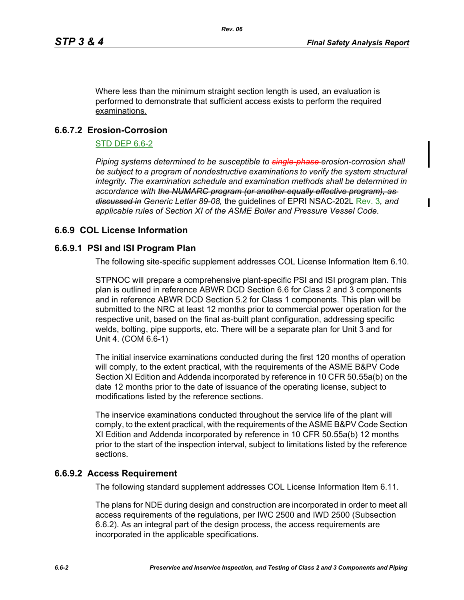Where less than the minimum straight section length is used, an evaluation is performed to demonstrate that sufficient access exists to perform the required examinations.

# **6.6.7.2 Erosion-Corrosion**

### STD DEP 6.6-2

*Piping systems determined to be susceptible to single-phase erosion-corrosion shall*  be subject to a program of nondestructive examinations to verify the system structural *integrity. The examination schedule and examination methods shall be determined in accordance with the NUMARC program (or another equally effective program), as discussed in Generic Letter 89-08,* the guidelines of EPRI NSAC-202L Rev. 3*, and applicable rules of Section XI of the ASME Boiler and Pressure Vessel Code.*

# **6.6.9 COL License Information**

## **6.6.9.1 PSI and ISI Program Plan**

The following site-specific supplement addresses COL License Information Item 6.10.

STPNOC will prepare a comprehensive plant-specific PSI and ISI program plan. This plan is outlined in reference ABWR DCD Section 6.6 for Class 2 and 3 components and in reference ABWR DCD Section 5.2 for Class 1 components. This plan will be submitted to the NRC at least 12 months prior to commercial power operation for the respective unit, based on the final as-built plant configuration, addressing specific welds, bolting, pipe supports, etc. There will be a separate plan for Unit 3 and for Unit 4. (COM 6.6-1)

The initial inservice examinations conducted during the first 120 months of operation will comply, to the extent practical, with the requirements of the ASME B&PV Code Section XI Edition and Addenda incorporated by reference in 10 CFR 50.55a(b) on the date 12 months prior to the date of issuance of the operating license, subject to modifications listed by the reference sections.

The inservice examinations conducted throughout the service life of the plant will comply, to the extent practical, with the requirements of the ASME B&PV Code Section XI Edition and Addenda incorporated by reference in 10 CFR 50.55a(b) 12 months prior to the start of the inspection interval, subject to limitations listed by the reference sections.

## **6.6.9.2 Access Requirement**

The following standard supplement addresses COL License Information Item 6.11.

The plans for NDE during design and construction are incorporated in order to meet all access requirements of the regulations, per IWC 2500 and IWD 2500 (Subsection 6.6.2). As an integral part of the design process, the access requirements are incorporated in the applicable specifications.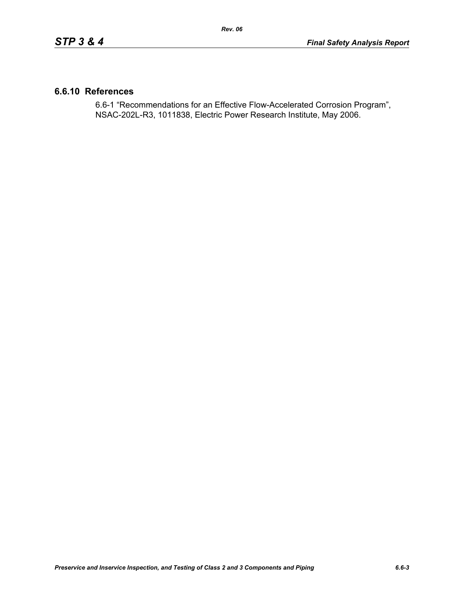## **6.6.10 References**

6.6-1 "Recommendations for an Effective Flow-Accelerated Corrosion Program", NSAC-202L-R3, 1011838, Electric Power Research Institute, May 2006.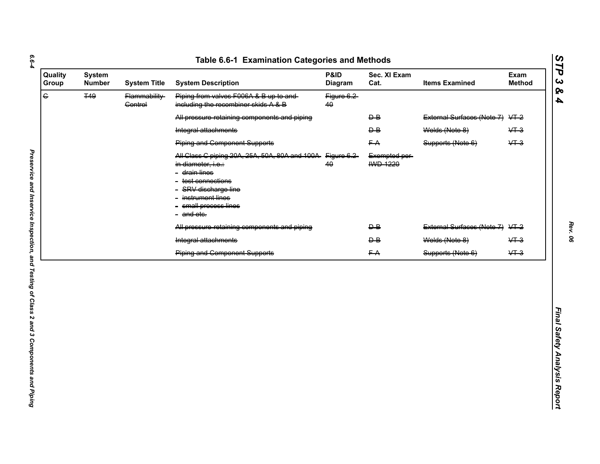| $\overline{\mathbf{G}}$<br><b>T49</b><br>Piping from valves F006A & B up to and<br>Flammability-<br>Figure 6.2<br>including the recombiner skids A & B<br><b>Control</b><br>40<br>External Surfaces (Note 7) VT-2<br>All pressure retaining components and piping<br>$\overline{P}$<br>Welds (Note 8)<br>$&+3$<br>Integral attachments<br>$\overline{P}$<br>$&+3$<br><b>Piping and Component Supports</b><br>FA<br>Supports (Note 6)<br>All Class C piping 20A, 25A, 50A, 80A and 100A-<br>Figure 6.2<br>Exempted per-<br><b>IWD 1220</b><br>40<br>in diameter, i.e.:<br>- <del>drain lines</del><br>- test connections<br>- SRV discharge line<br>- instrument lines<br>- small process lines<br>- and etc.<br>External Surfaces (Note 7) VT-2<br>All pressure retaining components and piping<br>$\overline{P}$<br>Integral attachments<br>Welds (Note 8)<br>$&+3$<br>$\overline{P}$<br>$&+3$<br>FA<br><b>Piping and Component Supports</b><br>Supports (Note 6) |
|--------------------------------------------------------------------------------------------------------------------------------------------------------------------------------------------------------------------------------------------------------------------------------------------------------------------------------------------------------------------------------------------------------------------------------------------------------------------------------------------------------------------------------------------------------------------------------------------------------------------------------------------------------------------------------------------------------------------------------------------------------------------------------------------------------------------------------------------------------------------------------------------------------------------------------------------------------------------|
|                                                                                                                                                                                                                                                                                                                                                                                                                                                                                                                                                                                                                                                                                                                                                                                                                                                                                                                                                                    |
|                                                                                                                                                                                                                                                                                                                                                                                                                                                                                                                                                                                                                                                                                                                                                                                                                                                                                                                                                                    |
|                                                                                                                                                                                                                                                                                                                                                                                                                                                                                                                                                                                                                                                                                                                                                                                                                                                                                                                                                                    |
|                                                                                                                                                                                                                                                                                                                                                                                                                                                                                                                                                                                                                                                                                                                                                                                                                                                                                                                                                                    |
|                                                                                                                                                                                                                                                                                                                                                                                                                                                                                                                                                                                                                                                                                                                                                                                                                                                                                                                                                                    |
|                                                                                                                                                                                                                                                                                                                                                                                                                                                                                                                                                                                                                                                                                                                                                                                                                                                                                                                                                                    |
|                                                                                                                                                                                                                                                                                                                                                                                                                                                                                                                                                                                                                                                                                                                                                                                                                                                                                                                                                                    |
|                                                                                                                                                                                                                                                                                                                                                                                                                                                                                                                                                                                                                                                                                                                                                                                                                                                                                                                                                                    |

*STP 3 & 4*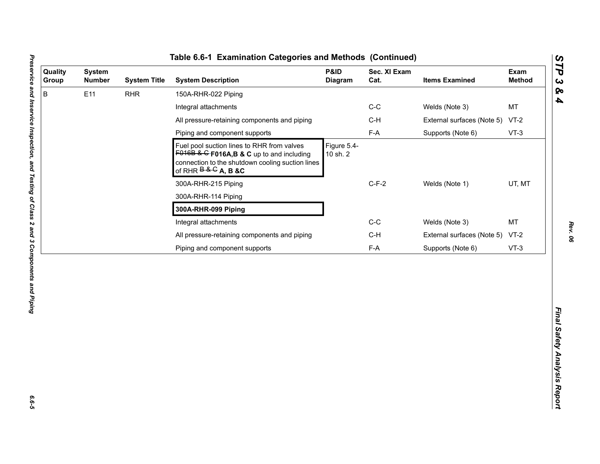| B<br>E11<br><b>RHR</b><br>150A-RHR-022 Piping<br>$C-C$<br>Welds (Note 3)<br>Integral attachments<br>All pressure-retaining components and piping<br>$C-H$<br>External surfaces (Note 5)<br>$F-A$<br>Piping and component supports<br>Supports (Note 6)<br>Figure 5.4-<br>Fuel pool suction lines to RHR from valves<br>$F016B$ & G F016A, B & C up to and including<br>10 sh. 2<br>connection to the shutdown cooling suction lines<br>of RHR $B & G$ A, B &C<br>$C-F-2$<br>Welds (Note 1)<br>300A-RHR-215 Piping<br>300A-RHR-114 Piping<br>300A-RHR-099 Piping<br>$C-C$<br>Integral attachments<br>Welds (Note 3) | MT<br>$VT-2$<br>$VT-3$<br>UT, MT<br><b>MT</b><br>$C-H$<br>External surfaces (Note 5)<br>$VT-2$<br>$F-A$<br>Supports (Note 6)<br>$VT-3$ | Quality<br>Group | <b>System</b><br><b>Number</b> | <b>System Title</b> | <b>System Description</b>                    | P&ID<br>Diagram | Sec. XI Exam<br>Cat. | <b>Items Examined</b> | Exam<br><b>Method</b> |
|--------------------------------------------------------------------------------------------------------------------------------------------------------------------------------------------------------------------------------------------------------------------------------------------------------------------------------------------------------------------------------------------------------------------------------------------------------------------------------------------------------------------------------------------------------------------------------------------------------------------|----------------------------------------------------------------------------------------------------------------------------------------|------------------|--------------------------------|---------------------|----------------------------------------------|-----------------|----------------------|-----------------------|-----------------------|
|                                                                                                                                                                                                                                                                                                                                                                                                                                                                                                                                                                                                                    |                                                                                                                                        |                  |                                |                     |                                              |                 |                      |                       |                       |
|                                                                                                                                                                                                                                                                                                                                                                                                                                                                                                                                                                                                                    |                                                                                                                                        |                  |                                |                     |                                              |                 |                      |                       |                       |
|                                                                                                                                                                                                                                                                                                                                                                                                                                                                                                                                                                                                                    |                                                                                                                                        |                  |                                |                     |                                              |                 |                      |                       |                       |
|                                                                                                                                                                                                                                                                                                                                                                                                                                                                                                                                                                                                                    |                                                                                                                                        |                  |                                |                     |                                              |                 |                      |                       |                       |
|                                                                                                                                                                                                                                                                                                                                                                                                                                                                                                                                                                                                                    |                                                                                                                                        |                  |                                |                     |                                              |                 |                      |                       |                       |
|                                                                                                                                                                                                                                                                                                                                                                                                                                                                                                                                                                                                                    |                                                                                                                                        |                  |                                |                     |                                              |                 |                      |                       |                       |
|                                                                                                                                                                                                                                                                                                                                                                                                                                                                                                                                                                                                                    |                                                                                                                                        |                  |                                |                     |                                              |                 |                      |                       |                       |
|                                                                                                                                                                                                                                                                                                                                                                                                                                                                                                                                                                                                                    |                                                                                                                                        |                  |                                |                     |                                              |                 |                      |                       |                       |
|                                                                                                                                                                                                                                                                                                                                                                                                                                                                                                                                                                                                                    |                                                                                                                                        |                  |                                |                     |                                              |                 |                      |                       |                       |
|                                                                                                                                                                                                                                                                                                                                                                                                                                                                                                                                                                                                                    |                                                                                                                                        |                  |                                |                     | All pressure-retaining components and piping |                 |                      |                       |                       |
| Piping and component supports                                                                                                                                                                                                                                                                                                                                                                                                                                                                                                                                                                                      |                                                                                                                                        |                  |                                |                     |                                              |                 |                      |                       |                       |

L

*STP 3 & 4*

 $6.6 - 5$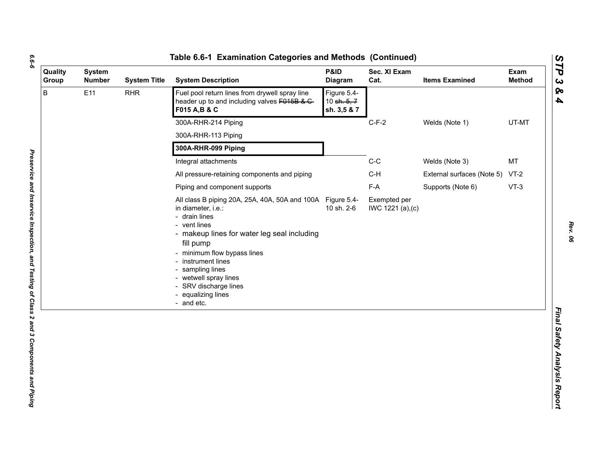| ۰,<br>۰. |
|----------|
|          |
| ۰.       |
|          |

| B<br>E11<br>Fuel pool return lines from drywell spray line<br><b>RHR</b><br>Figure 5.4-<br>header up to and including valves F015B & C-<br>10 sh. 5, 7<br>F015 A, B & C<br>sh. 3,5 & 7<br>300A-RHR-214 Piping<br>$C-F-2$<br>Welds (Note 1)<br>300A-RHR-113 Piping<br>300A-RHR-099 Piping<br>$C-C$<br><b>MT</b><br>Welds (Note 3)<br>Integral attachments<br>$C-H$<br>All pressure-retaining components and piping<br>External surfaces (Note 5) VT-2<br>F-A<br>$VT-3$<br>Supports (Note 6)<br>Piping and component supports<br>All class B piping 20A, 25A, 40A, 50A and 100A Figure 5.4-<br>Exempted per<br>10 sh. 2-6<br>in diameter, i.e.:<br>IWC 1221 (a), (c)<br>- drain lines<br>- vent lines<br>- makeup lines for water leg seal including<br>fill pump<br>- minimum flow bypass lines<br>- instrument lines<br>- sampling lines<br>- wetwell spray lines<br>- SRV discharge lines<br>- equalizing lines<br>- and etc. | Quality<br>Group | <b>System</b><br><b>Number</b> | <b>System Title</b> | <b>System Description</b> | P&ID<br><b>Diagram</b> | Sec. XI Exam<br>Cat. | <b>Items Examined</b> | Exam<br><b>Method</b> |
|--------------------------------------------------------------------------------------------------------------------------------------------------------------------------------------------------------------------------------------------------------------------------------------------------------------------------------------------------------------------------------------------------------------------------------------------------------------------------------------------------------------------------------------------------------------------------------------------------------------------------------------------------------------------------------------------------------------------------------------------------------------------------------------------------------------------------------------------------------------------------------------------------------------------------------|------------------|--------------------------------|---------------------|---------------------------|------------------------|----------------------|-----------------------|-----------------------|
|                                                                                                                                                                                                                                                                                                                                                                                                                                                                                                                                                                                                                                                                                                                                                                                                                                                                                                                                |                  |                                |                     |                           |                        |                      |                       |                       |
|                                                                                                                                                                                                                                                                                                                                                                                                                                                                                                                                                                                                                                                                                                                                                                                                                                                                                                                                |                  |                                |                     |                           |                        |                      |                       | UT-MT                 |
|                                                                                                                                                                                                                                                                                                                                                                                                                                                                                                                                                                                                                                                                                                                                                                                                                                                                                                                                |                  |                                |                     |                           |                        |                      |                       |                       |
|                                                                                                                                                                                                                                                                                                                                                                                                                                                                                                                                                                                                                                                                                                                                                                                                                                                                                                                                |                  |                                |                     |                           |                        |                      |                       |                       |
|                                                                                                                                                                                                                                                                                                                                                                                                                                                                                                                                                                                                                                                                                                                                                                                                                                                                                                                                |                  |                                |                     |                           |                        |                      |                       |                       |
|                                                                                                                                                                                                                                                                                                                                                                                                                                                                                                                                                                                                                                                                                                                                                                                                                                                                                                                                |                  |                                |                     |                           |                        |                      |                       |                       |
|                                                                                                                                                                                                                                                                                                                                                                                                                                                                                                                                                                                                                                                                                                                                                                                                                                                                                                                                |                  |                                |                     |                           |                        |                      |                       |                       |
|                                                                                                                                                                                                                                                                                                                                                                                                                                                                                                                                                                                                                                                                                                                                                                                                                                                                                                                                |                  |                                |                     |                           |                        |                      |                       |                       |

*STP 3 & 4*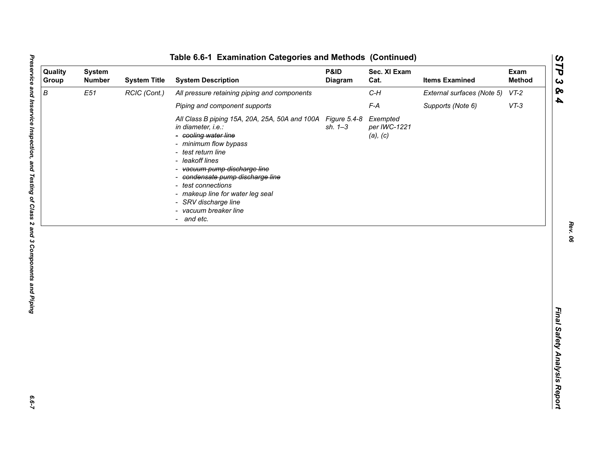| Quality<br>Group | <b>System</b><br><b>Number</b> | <b>System Title</b> | <b>System Description</b>                                                                                                                                                                                                                                                                                                                                                | P&ID<br>Diagram | Sec. XI Exam<br>Cat.                 | <b>Items Examined</b>      | Exam<br><b>Method</b> |
|------------------|--------------------------------|---------------------|--------------------------------------------------------------------------------------------------------------------------------------------------------------------------------------------------------------------------------------------------------------------------------------------------------------------------------------------------------------------------|-----------------|--------------------------------------|----------------------------|-----------------------|
| $\boldsymbol{B}$ | E51                            | RCIC (Cont.)        | All pressure retaining piping and components                                                                                                                                                                                                                                                                                                                             |                 | $C-H$                                | External surfaces (Note 5) | $VT-2$                |
|                  |                                |                     | Piping and component supports                                                                                                                                                                                                                                                                                                                                            |                 | $F-A$                                | Supports (Note 6)          | $VT-3$                |
|                  |                                |                     | All Class B piping 15A, 20A, 25A, 50A and 100A Figure 5.4-8<br>in diameter, i.e.:<br>- cooling water line<br>- minimum flow bypass<br>- test return line<br>- leakoff lines<br>- vacuum pump discharge line<br>- condensate pump discharge line<br>- test connections<br>- makeup line for water leg seal<br>- SRV discharge line<br>- vacuum breaker line<br>- and etc. | $sh. 1 - 3$     | Exempted<br>per IWC-1221<br>(a), (c) |                            |                       |
|                  |                                |                     |                                                                                                                                                                                                                                                                                                                                                                          |                 |                                      |                            |                       |

 $6.6 - 7$ 

*Rev. 06*